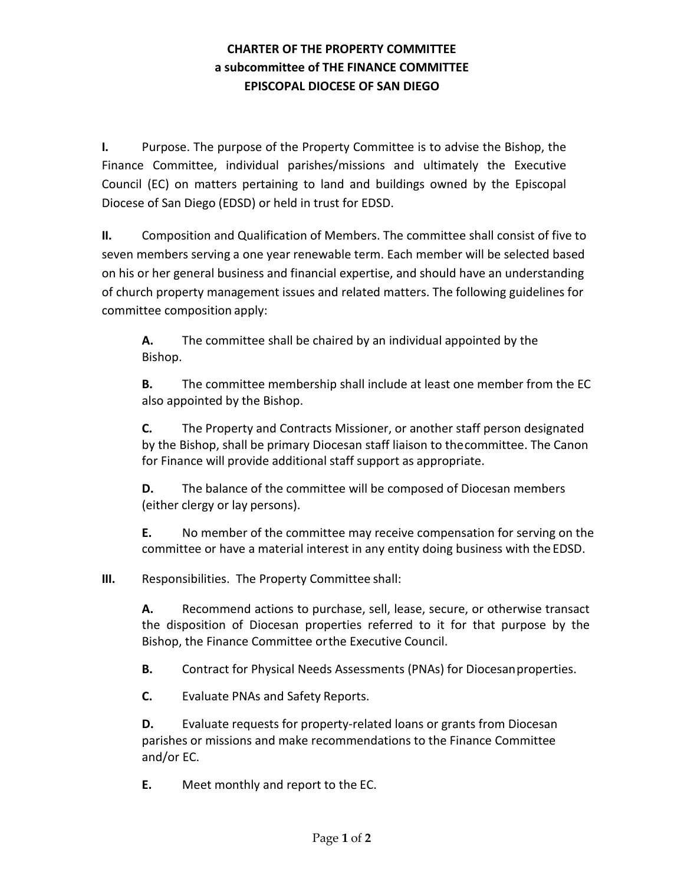## **CHARTER OF THE PROPERTY COMMITTEE a subcommittee of THE FINANCE COMMITTEE EPISCOPAL DIOCESE OF SAN DIEGO**

**I.** Purpose. The purpose of the Property Committee is to advise the Bishop, the Finance Committee, individual parishes/missions and ultimately the Executive Council (EC) on matters pertaining to land and buildings owned by the Episcopal Diocese of San Diego (EDSD) or held in trust for EDSD.

**II.** Composition and Qualification of Members. The committee shall consist of five to seven members serving a one year renewable term. Each member will be selected based on his or her general business and financial expertise, and should have an understanding of church property management issues and related matters. The following guidelines for committee composition apply:

**A.** The committee shall be chaired by an individual appointed by the Bishop.

**B.** The committee membership shall include at least one member from the EC also appointed by the Bishop.

**C.** The Property and Contracts Missioner, or another staff person designated by the Bishop, shall be primary Diocesan staff liaison to thecommittee. The Canon for Finance will provide additional staff support as appropriate.

**D.** The balance of the committee will be composed of Diocesan members (either clergy or lay persons).

**E.** No member of the committee may receive compensation for serving on the committee or have a material interest in any entity doing business with the EDSD.

**III.** Responsibilities. The Property Committee shall:

**A.** Recommend actions to purchase, sell, lease, secure, or otherwise transact the disposition of Diocesan properties referred to it for that purpose by the Bishop, the Finance Committee orthe Executive Council.

**B.** Contract for Physical Needs Assessments (PNAs) for Diocesanproperties.

**C.** Evaluate PNAs and Safety Reports.

**D.** Evaluate requests for property-related loans or grants from Diocesan parishes or missions and make recommendations to the Finance Committee and/or EC.

**E.** Meet monthly and report to the EC.